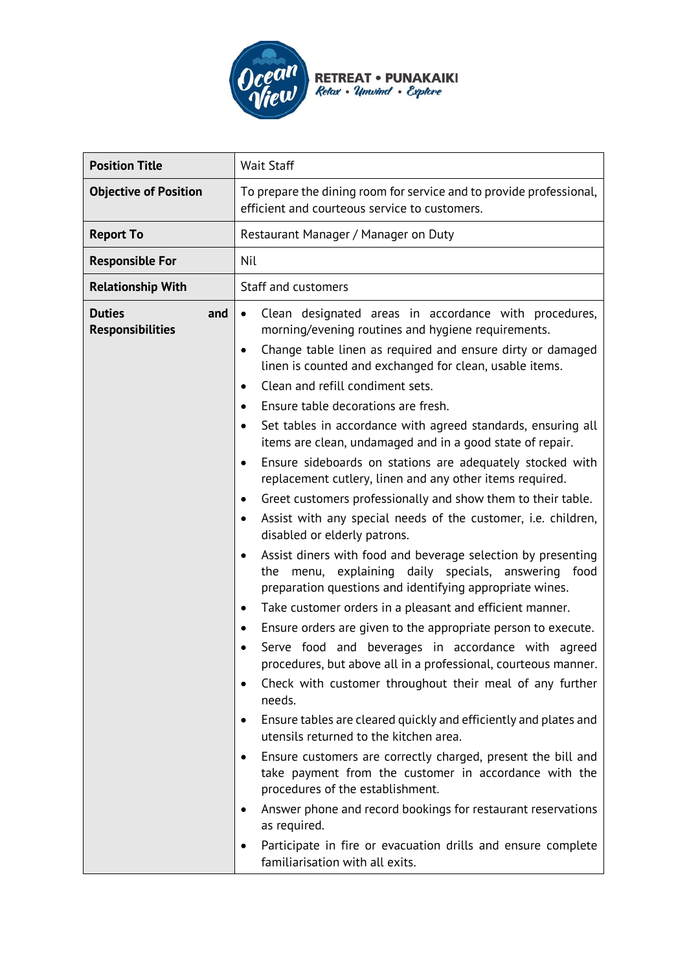

 $\mathbf{r}$ 

| <b>Position Title</b>                           | Wait Staff                                                                                                                                                                                                                                                                                                                                                                                                                                                                                                                                                                                                                                                                                                                                                                                                                                                                                                                                                                                                                                                                                                                                                                                                                                                                                                                                                                                                                                                                                                                                                                                                                                                                                                                                                   |
|-------------------------------------------------|--------------------------------------------------------------------------------------------------------------------------------------------------------------------------------------------------------------------------------------------------------------------------------------------------------------------------------------------------------------------------------------------------------------------------------------------------------------------------------------------------------------------------------------------------------------------------------------------------------------------------------------------------------------------------------------------------------------------------------------------------------------------------------------------------------------------------------------------------------------------------------------------------------------------------------------------------------------------------------------------------------------------------------------------------------------------------------------------------------------------------------------------------------------------------------------------------------------------------------------------------------------------------------------------------------------------------------------------------------------------------------------------------------------------------------------------------------------------------------------------------------------------------------------------------------------------------------------------------------------------------------------------------------------------------------------------------------------------------------------------------------------|
| <b>Objective of Position</b>                    | To prepare the dining room for service and to provide professional,<br>efficient and courteous service to customers.                                                                                                                                                                                                                                                                                                                                                                                                                                                                                                                                                                                                                                                                                                                                                                                                                                                                                                                                                                                                                                                                                                                                                                                                                                                                                                                                                                                                                                                                                                                                                                                                                                         |
| <b>Report To</b>                                | Restaurant Manager / Manager on Duty                                                                                                                                                                                                                                                                                                                                                                                                                                                                                                                                                                                                                                                                                                                                                                                                                                                                                                                                                                                                                                                                                                                                                                                                                                                                                                                                                                                                                                                                                                                                                                                                                                                                                                                         |
| <b>Responsible For</b>                          | Nil                                                                                                                                                                                                                                                                                                                                                                                                                                                                                                                                                                                                                                                                                                                                                                                                                                                                                                                                                                                                                                                                                                                                                                                                                                                                                                                                                                                                                                                                                                                                                                                                                                                                                                                                                          |
| <b>Relationship With</b>                        | Staff and customers                                                                                                                                                                                                                                                                                                                                                                                                                                                                                                                                                                                                                                                                                                                                                                                                                                                                                                                                                                                                                                                                                                                                                                                                                                                                                                                                                                                                                                                                                                                                                                                                                                                                                                                                          |
| <b>Duties</b><br>and<br><b>Responsibilities</b> | Clean designated areas in accordance with procedures,<br>$\bullet$<br>morning/evening routines and hygiene requirements.<br>Change table linen as required and ensure dirty or damaged<br>$\bullet$<br>linen is counted and exchanged for clean, usable items.<br>Clean and refill condiment sets.<br>$\bullet$<br>Ensure table decorations are fresh.<br>Set tables in accordance with agreed standards, ensuring all<br>items are clean, undamaged and in a good state of repair.<br>Ensure sideboards on stations are adequately stocked with<br>٠<br>replacement cutlery, linen and any other items required.<br>Greet customers professionally and show them to their table.<br>٠<br>Assist with any special needs of the customer, i.e. children,<br>٠<br>disabled or elderly patrons.<br>Assist diners with food and beverage selection by presenting<br>the menu, explaining daily specials, answering food<br>preparation questions and identifying appropriate wines.<br>Take customer orders in a pleasant and efficient manner.<br>٠<br>Ensure orders are given to the appropriate person to execute.<br>Serve food and beverages in accordance with agreed<br>procedures, but above all in a professional, courteous manner.<br>Check with customer throughout their meal of any further<br>needs.<br>Ensure tables are cleared quickly and efficiently and plates and<br>٠<br>utensils returned to the kitchen area.<br>Ensure customers are correctly charged, present the bill and<br>$\bullet$<br>take payment from the customer in accordance with the<br>procedures of the establishment.<br>Answer phone and record bookings for restaurant reservations<br>as required.<br>Participate in fire or evacuation drills and ensure complete |
|                                                 | familiarisation with all exits.                                                                                                                                                                                                                                                                                                                                                                                                                                                                                                                                                                                                                                                                                                                                                                                                                                                                                                                                                                                                                                                                                                                                                                                                                                                                                                                                                                                                                                                                                                                                                                                                                                                                                                                              |